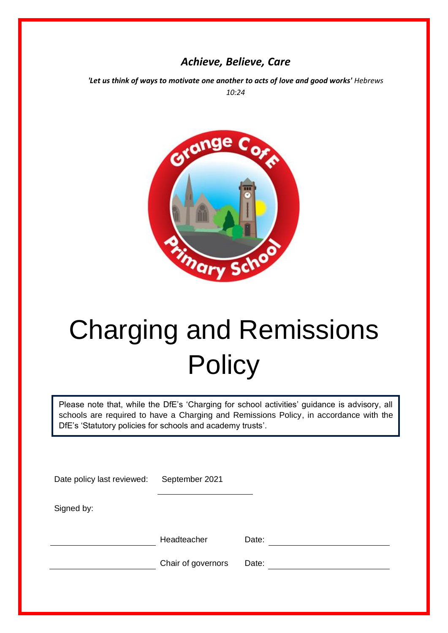# *Achieve, Believe, Care*

'Let us think of ways to motivate one another to acts of love and good works' *Hebrews 10:24*



# Charging and Remissions **Policy**

Please note that, while the DfE's 'Charging for school activities' guidance is advisory, all schools are required to have a Charging and Remissions Policy, in accordance with the DfE's 'Statutory policies for schools and academy trusts'.

| Date policy last reviewed: | September 2021     |       |  |
|----------------------------|--------------------|-------|--|
| Signed by:                 |                    |       |  |
|                            | Headteacher        | Date: |  |
|                            | Chair of governors | Date: |  |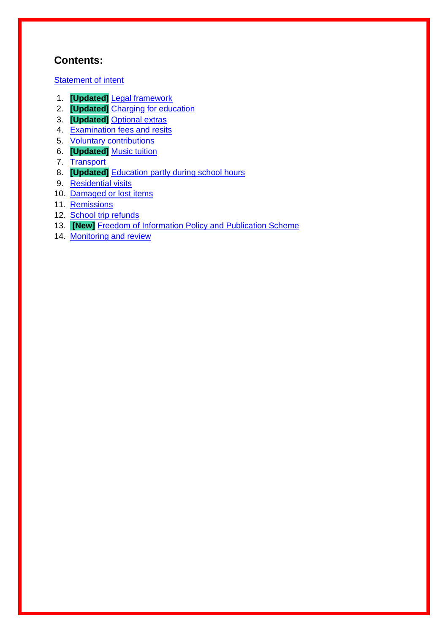## **Contents:**

**Statement of intent** 

- 1. **[Updated]** Legal framework
- 2. **[Updated]** Charging for education
- 3. **[Updated]** Optional extras
- 4. Examination fees and resits
- 5. Voluntary contributions
- 6. **[Updated]** Music tuition
- 7. Transport
- 8. **[Updated]** Education partly during school hours
- 9. Residential visits
- 10. Damaged or lost items
- 11. Remissions
- 12. School trip refunds
- 13. **[New]** Freedom of Information Policy and Publication Scheme
- 14. Monitoring and review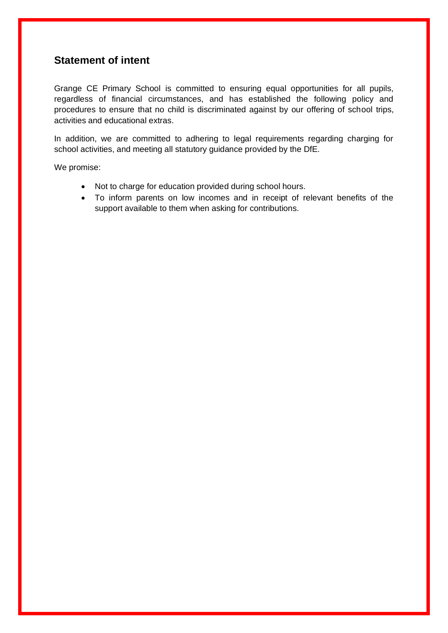## **Statement of intent**

Grange CE Primary School is committed to ensuring equal opportunities for all pupils, regardless of financial circumstances, and has established the following policy and procedures to ensure that no child is discriminated against by our offering of school trips, activities and educational extras.

In addition, we are committed to adhering to legal requirements regarding charging for school activities, and meeting all statutory guidance provided by the DfE.

We promise:

- Not to charge for education provided during school hours.
- To inform parents on low incomes and in receipt of relevant benefits of the support available to them when asking for contributions.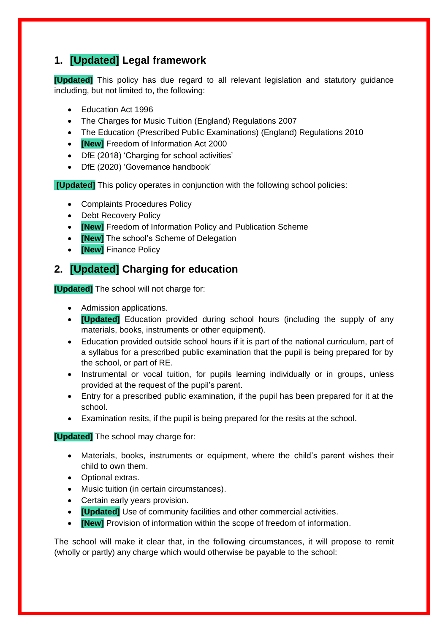# **1. [Updated] Legal framework**

**[Updated]** This policy has due regard to all relevant legislation and statutory guidance including, but not limited to, the following:

- Education Act 1996
- The Charges for Music Tuition (England) Regulations 2007
- The Education (Prescribed Public Examinations) (England) Regulations 2010
- **[New]** Freedom of Information Act 2000
- DfE (2018) 'Charging for school activities'
- DfE (2020) 'Governance handbook'

**[Updated]** This policy operates in conjunction with the following school policies:

- Complaints Procedures Policy
- Debt Recovery Policy
- **[New]** Freedom of Information Policy and Publication Scheme
- **[New]** The school's Scheme of Delegation
- **[New]** Finance Policy

# **2. [Updated] Charging for education**

**[Updated]** The school will not charge for:

- Admission applications.
- **[Updated]** Education provided during school hours (including the supply of any materials, books, instruments or other equipment).
- Education provided outside school hours if it is part of the national curriculum, part of a syllabus for a prescribed public examination that the pupil is being prepared for by the school, or part of RE.
- Instrumental or vocal tuition, for pupils learning individually or in groups, unless provided at the request of the pupil's parent.
- Entry for a prescribed public examination, if the pupil has been prepared for it at the school.
- Examination resits, if the pupil is being prepared for the resits at the school.

**[Updated]** The school may charge for:

- Materials, books, instruments or equipment, where the child's parent wishes their child to own them.
- Optional extras.
- Music tuition (in certain circumstances).
- Certain early years provision.
- **[Updated]** Use of community facilities and other commercial activities.
- **[New]** Provision of information within the scope of freedom of information.

The school will make it clear that, in the following circumstances, it will propose to remit (wholly or partly) any charge which would otherwise be payable to the school: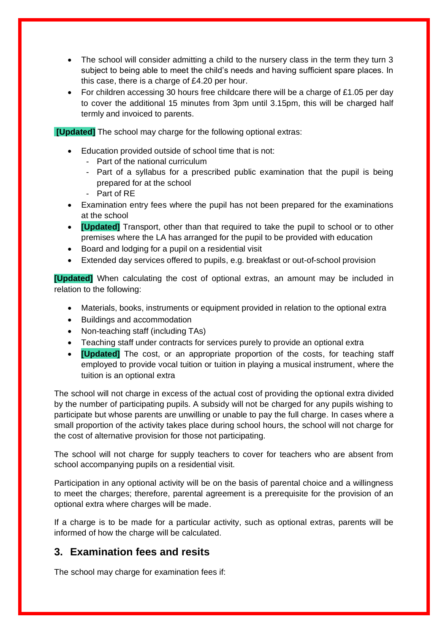- The school will consider admitting a child to the nursery class in the term they turn 3 subject to being able to meet the child's needs and having sufficient spare places. In this case, there is a charge of £4.20 per hour.
- For children accessing 30 hours free childcare there will be a charge of £1.05 per day to cover the additional 15 minutes from 3pm until 3.15pm, this will be charged half termly and invoiced to parents.

**[Updated]** The school may charge for the following optional extras:

- Education provided outside of school time that is not:
	- Part of the national curriculum
	- Part of a syllabus for a prescribed public examination that the pupil is being prepared for at the school
	- Part of RE
- Examination entry fees where the pupil has not been prepared for the examinations at the school
- **[Updated]** Transport, other than that required to take the pupil to school or to other premises where the LA has arranged for the pupil to be provided with education
- Board and lodging for a pupil on a residential visit
- Extended day services offered to pupils, e.g. breakfast or out-of-school provision

**[Updated]** When calculating the cost of optional extras, an amount may be included in relation to the following:

- Materials, books, instruments or equipment provided in relation to the optional extra
- Buildings and accommodation
- Non-teaching staff (including TAs)
- Teaching staff under contracts for services purely to provide an optional extra
- **[Updated]** The cost, or an appropriate proportion of the costs, for teaching staff employed to provide vocal tuition or tuition in playing a musical instrument, where the tuition is an optional extra

The school will not charge in excess of the actual cost of providing the optional extra divided by the number of participating pupils. A subsidy will not be charged for any pupils wishing to participate but whose parents are unwilling or unable to pay the full charge. In cases where a small proportion of the activity takes place during school hours, the school will not charge for the cost of alternative provision for those not participating.

The school will not charge for supply teachers to cover for teachers who are absent from school accompanying pupils on a residential visit.

Participation in any optional activity will be on the basis of parental choice and a willingness to meet the charges; therefore, parental agreement is a prerequisite for the provision of an optional extra where charges will be made.

If a charge is to be made for a particular activity, such as optional extras, parents will be informed of how the charge will be calculated.

#### **3. Examination fees and resits**

The school may charge for examination fees if: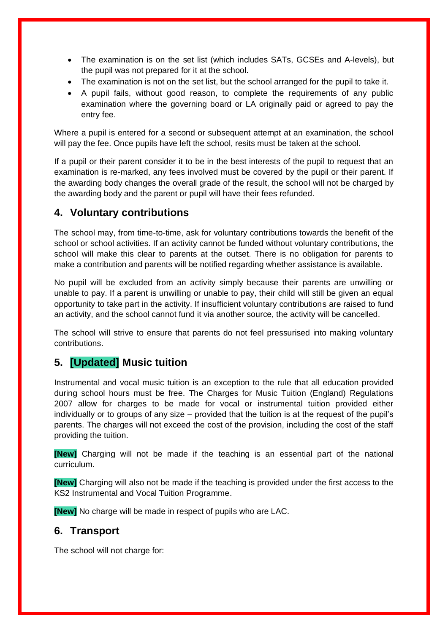- The examination is on the set list (which includes SATs, GCSEs and A-levels), but the pupil was not prepared for it at the school.
- The examination is not on the set list, but the school arranged for the pupil to take it.
- A pupil fails, without good reason, to complete the requirements of any public examination where the governing board or LA originally paid or agreed to pay the entry fee.

Where a pupil is entered for a second or subsequent attempt at an examination, the school will pay the fee. Once pupils have left the school, resits must be taken at the school.

If a pupil or their parent consider it to be in the best interests of the pupil to request that an examination is re-marked, any fees involved must be covered by the pupil or their parent. If the awarding body changes the overall grade of the result, the school will not be charged by the awarding body and the parent or pupil will have their fees refunded.

#### **4. Voluntary contributions**

The school may, from time-to-time, ask for voluntary contributions towards the benefit of the school or school activities. If an activity cannot be funded without voluntary contributions, the school will make this clear to parents at the outset. There is no obligation for parents to make a contribution and parents will be notified regarding whether assistance is available.

No pupil will be excluded from an activity simply because their parents are unwilling or unable to pay. If a parent is unwilling or unable to pay, their child will still be given an equal opportunity to take part in the activity. If insufficient voluntary contributions are raised to fund an activity, and the school cannot fund it via another source, the activity will be cancelled.

The school will strive to ensure that parents do not feel pressurised into making voluntary contributions.

## **5. [Updated] Music tuition**

Instrumental and vocal music tuition is an exception to the rule that all education provided during school hours must be free. The Charges for Music Tuition (England) Regulations 2007 allow for charges to be made for vocal or instrumental tuition provided either individually or to groups of any size – provided that the tuition is at the request of the pupil's parents. The charges will not exceed the cost of the provision, including the cost of the staff providing the tuition.

**[New]** Charging will not be made if the teaching is an essential part of the national curriculum.

**[New]** Charging will also not be made if the teaching is provided under the first access to the KS2 Instrumental and Vocal Tuition Programme.

**[New]** No charge will be made in respect of pupils who are LAC.

#### **6. Transport**

The school will not charge for: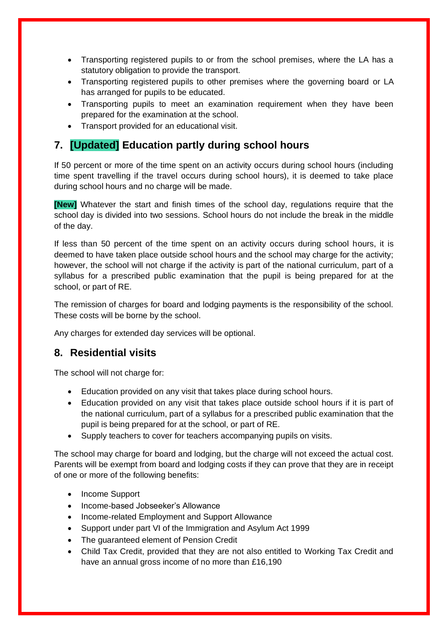- Transporting registered pupils to or from the school premises, where the LA has a statutory obligation to provide the transport.
- Transporting registered pupils to other premises where the governing board or LA has arranged for pupils to be educated.
- Transporting pupils to meet an examination requirement when they have been prepared for the examination at the school.
- Transport provided for an educational visit.

# **7. [Updated] Education partly during school hours**

If 50 percent or more of the time spent on an activity occurs during school hours (including time spent travelling if the travel occurs during school hours), it is deemed to take place during school hours and no charge will be made.

**[New]** Whatever the start and finish times of the school day, regulations require that the school day is divided into two sessions. School hours do not include the break in the middle of the day.

If less than 50 percent of the time spent on an activity occurs during school hours, it is deemed to have taken place outside school hours and the school may charge for the activity; however, the school will not charge if the activity is part of the national curriculum, part of a syllabus for a prescribed public examination that the pupil is being prepared for at the school, or part of RE.

The remission of charges for board and lodging payments is the responsibility of the school. These costs will be borne by the school.

Any charges for extended day services will be optional.

## **8. Residential visits**

The school will not charge for:

- Education provided on any visit that takes place during school hours.
- Education provided on any visit that takes place outside school hours if it is part of the national curriculum, part of a syllabus for a prescribed public examination that the pupil is being prepared for at the school, or part of RE.
- Supply teachers to cover for teachers accompanying pupils on visits.

The school may charge for board and lodging, but the charge will not exceed the actual cost. Parents will be exempt from board and lodging costs if they can prove that they are in receipt of one or more of the following benefits:

- Income Support
- Income-based Jobseeker's Allowance
- Income-related Employment and Support Allowance
- Support under part VI of the Immigration and Asylum Act 1999
- The guaranteed element of Pension Credit
- Child Tax Credit, provided that they are not also entitled to Working Tax Credit and have an annual gross income of no more than £16,190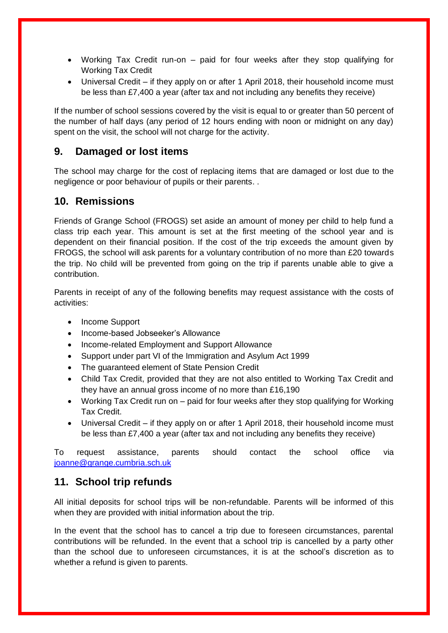- Working Tax Credit run-on paid for four weeks after they stop qualifying for Working Tax Credit
- Universal Credit if they apply on or after 1 April 2018, their household income must be less than £7,400 a year (after tax and not including any benefits they receive)

If the number of school sessions covered by the visit is equal to or greater than 50 percent of the number of half days (any period of 12 hours ending with noon or midnight on any day) spent on the visit, the school will not charge for the activity.

## **9. Damaged or lost items**

The school may charge for the cost of replacing items that are damaged or lost due to the negligence or poor behaviour of pupils or their parents. .

# **10. Remissions**

Friends of Grange School (FROGS) set aside an amount of money per child to help fund a class trip each year. This amount is set at the first meeting of the school year and is dependent on their financial position. If the cost of the trip exceeds the amount given by FROGS, the school will ask parents for a voluntary contribution of no more than £20 towards the trip. No child will be prevented from going on the trip if parents unable able to give a contribution.

Parents in receipt of any of the following benefits may request assistance with the costs of activities:

- Income Support
- Income-based Jobseeker's Allowance
- Income-related Employment and Support Allowance
- Support under part VI of the Immigration and Asylum Act 1999
- The guaranteed element of State Pension Credit
- Child Tax Credit, provided that they are not also entitled to Working Tax Credit and they have an annual gross income of no more than £16,190
- Working Tax Credit run on paid for four weeks after they stop qualifying for Working Tax Credit.
- Universal Credit if they apply on or after 1 April 2018, their household income must be less than £7,400 a year (after tax and not including any benefits they receive)

To request assistance, parents should contact the school office via [joanne@grange.cumbria.sch.uk](mailto:joanne@grange.cumbria.sch.uk)

## **11. School trip refunds**

All initial deposits for school trips will be non-refundable. Parents will be informed of this when they are provided with initial information about the trip.

In the event that the school has to cancel a trip due to foreseen circumstances, parental contributions will be refunded. In the event that a school trip is cancelled by a party other than the school due to unforeseen circumstances, it is at the school's discretion as to whether a refund is given to parents.